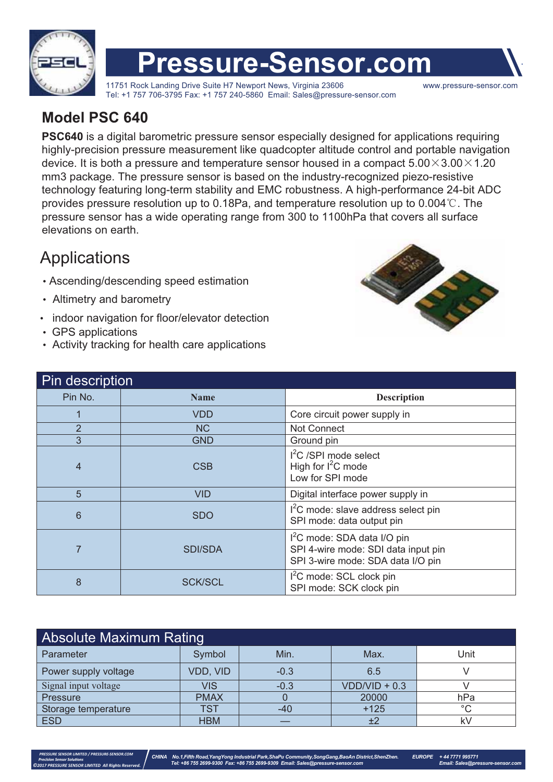

# **Pressure-Sensor.com**

11751 Rock Landing Drive Suite H7 Newport News, Virginia 23606 www.pressure-sensor.com Tel: +1 757 706-3795 Fax: +1 757 240-5860 Email: Sales@pressure-sensor.com

#### **Model PSC 640**

**PSC640** is a digital barometric pressure sensor especially designed for applications requiring highly-precision pressure measurement like quadcopter altitude control and portable navigation device. It is both a pressure and temperature sensor housed in a compact  $5.00\times3.00\times1.20$ mm3 package. The pressure sensor is based on the industry-recognized piezo-resistive technology featuring long-term stability and EMC robustness. A high-performance 24-bit ADC provides pressure resolution up to 0.18Pa, and temperature resolution up to  $0.004\degree$ C. The pressure sensor has a wide operating range from 300 to 1100hPa that covers all surface elevations on earth.

### **Applications**

- Ascending/descending speed estimation
- Altimetry and barometry
- indoor navigation for floor/elevator detection
- GPS applications

 *PRESSURE SENSOR LIMITED / PRESSURE-SENSOR.COM ©2017 PRESSURE SENSOR LIMITED All Rights Reserved.*

- Activity tracking for health care applications



| Pin description |                |                                                                                                                     |  |  |  |  |  |
|-----------------|----------------|---------------------------------------------------------------------------------------------------------------------|--|--|--|--|--|
| Pin No.         | <b>Name</b>    | <b>Description</b>                                                                                                  |  |  |  |  |  |
|                 | <b>VDD</b>     | Core circuit power supply in                                                                                        |  |  |  |  |  |
| $\overline{2}$  | NC             | Not Connect                                                                                                         |  |  |  |  |  |
| 3               | <b>GND</b>     | Ground pin                                                                                                          |  |  |  |  |  |
| $\overline{4}$  | <b>CSB</b>     | $I2C$ /SPI mode select<br>High for $I^2C$ mode<br>Low for SPI mode                                                  |  |  |  |  |  |
| 5               | VID            | Digital interface power supply in                                                                                   |  |  |  |  |  |
| 6               | <b>SDO</b>     | $I2C$ mode: slave address select pin<br>SPI mode: data output pin                                                   |  |  |  |  |  |
| 7               | SDI/SDA        | I <sup>2</sup> C mode: SDA data I/O pin<br>SPI 4-wire mode: SDI data input pin<br>SPI 3-wire mode: SDA data I/O pin |  |  |  |  |  |
| 8               | <b>SCK/SCL</b> | I <sup>2</sup> C mode: SCL clock pin<br>SPI mode: SCK clock pin                                                     |  |  |  |  |  |

| <b>Absolute Maximum Rating</b> |             |        |                 |         |  |  |  |  |  |
|--------------------------------|-------------|--------|-----------------|---------|--|--|--|--|--|
| Parameter                      | Symbol      | Min.   | Max.            | Unit    |  |  |  |  |  |
| Power supply voltage           | VDD, VID    | $-0.3$ | 6.5             |         |  |  |  |  |  |
| Signal input voltage           | <b>VIS</b>  | $-0.3$ | $VDD/VID + 0.3$ |         |  |  |  |  |  |
| Pressure                       | <b>PMAX</b> |        | 20000           | hPa     |  |  |  |  |  |
| Storage temperature            | TST         | -40    | $+125$          | $\circ$ |  |  |  |  |  |
| <b>ESD</b>                     | <b>HBM</b>  |        | ±2              | k۷      |  |  |  |  |  |